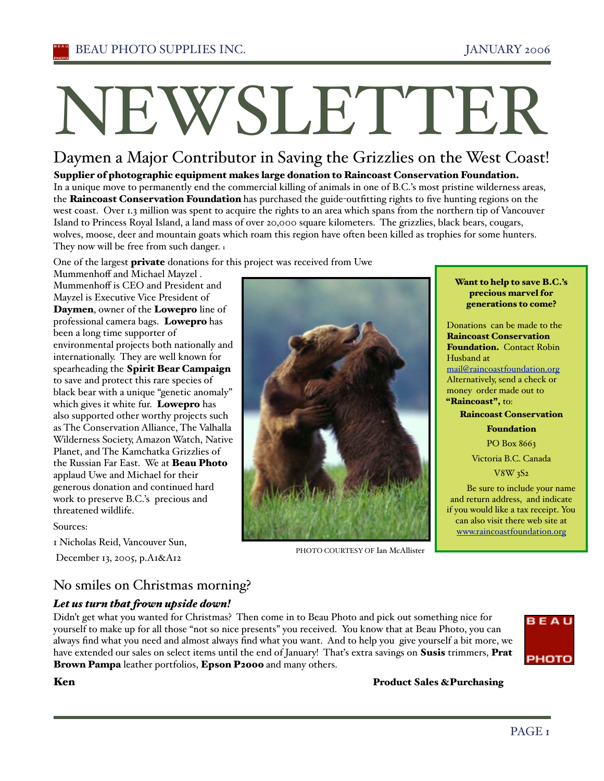# NEWSLETTER

# Daymen a Major Contributor in Saving the Grizzlies on the West Coast!

Supplier of photographic equipment makes large donation to Raincoast Conservation Foundation. In a unique move to permanently end the commercial killing of animals in one of B.C.'s most pristine wilderness areas, the Raincoast Conservation Foundation has purchased the guide-outfitting rights to five hunting regions on the west coast. Over 1.3 million was spent to acquire the rights to an area which spans from the northern tip of Vancouver Island to Princess Royal Island, a land mass of over 20,000 square kilometers. The grizzlies, black bears, cougars, wolves, moose, deer and mountain goats which roam this region have often been killed as trophies for some hunters. They now will be free from such danger. 1

One of the largest **private** donations for this project was received from Uwe

Mummenhoff and Michael Mayzel . Mummenhoff is CEO and President and Mayzel is Executive Vice President of Daymen, owner of the Lowepro line of professional camera bags. Lowepro has been a long time supporter of environmental projects both nationally and internationally. They are well known for spearheading the Spirit Bear Campaign to save and protect this rare species of black bear with a unique "genetic anomaly" which gives it white fur. Lowepro has also supported other worthy projects such as The Conservation Alliance, The Valhalla Wilderness Society, Amazon Watch, Native Planet, and The Kamchatka Grizzlies of the Russian Far East. We at **Beau Photo** applaud Uwe and Michael for their generous donation and continued hard work to preserve B.C.'s precious and threatened wildlife.

#### Sources:

1 Nicholas Reid, Vancouver Sun,

December 13, 2005, p.A1&A12

# No smiles on Christmas morning?

## *Let us turn that !own upside down!*

Didn't get what you wanted for Christmas? Then come in to Beau Photo and pick out something nice for yourself to make up for all those "not so nice presents" you received. You know that at Beau Photo, you can always find what you need and almost always find what you want. And to help you give yourself a bit more, we have extended our sales on select items until the end of January! That's extra savings on **Susis** trimmers, **Prat** Brown Pampa leather portfolios, Epson P2000 and many others.

PHOTO COURTESY OF Ian McAllister



Ken **Reduct Sales & Purchasing** 

#### Want to help to save B.C.'s precious marvel for generations to come?

Donations can be made to the Raincoast Conservation Foundation. Contact Robin Husband at mail@raincoastfoundation.org Alternatively, send a check or money order made out to "Raincoast", to:

Raincoast Conservation

Foundation

PO Box 8663

Victoria B.C. Canada V8W 3S2

Be sure to include your name and return address, and indicate if you would like a tax receipt. You can also visit there web site at www.raincoastfoundation.org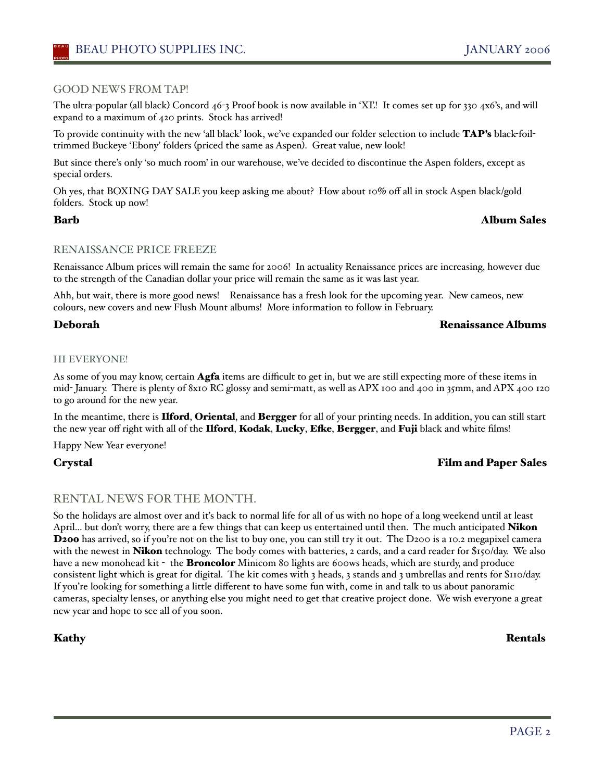#### GOOD NEWS FROM TAP!

The ultra-popular (all black) Concord 46-3 Proof book is now available in 'XĽ! It comes set up for 330 4x6's, and will expand to a maximum of 420 prints. Stock has arrived!

To provide continuity with the new 'all black' look, we've expanded our folder selection to include TAP's black-foiltrimmed Buckeye 'Ebony' folders (priced the same as Aspen). Great value, new look!

But since there's only 'so much room' in our warehouse, we've decided to discontinue the Aspen folders, except as special orders.

Oh yes, that BOXING DAY SALE you keep asking me about? How about 10% off all in stock Aspen black/gold folders. Stock up now!

#### Barb Album Sales

#### RENAISSANCE PRICE FREEZE

Renaissance Album prices will remain the same for 2006! In actuality Renaissance prices are increasing, however due to the strength of the Canadian dollar your price will remain the same as it was last year.

Ahh, but wait, there is more good news! Renaissance has a fresh look for the upcoming year. New cameos, new colours, new covers and new Flush Mount albums! More information to follow in February.

#### Deborah Renaissance Albums

#### HI EVERYONE!

As some of you may know, certain **Agfa** items are difficult to get in, but we are still expecting more of these items in mid- January. There is plenty of 8x10 RC glossy and semi-matt, as well as APX 100 and 400 in 35mm, and APX 400 120 to go around for the new year.

In the meantime, there is Ilford, Oriental, and Bergger for all of your printing needs. In addition, you can still start the new year off right with all of the Ilford, Kodak, Lucky, Efke, Bergger, and Fuji black and white films!

Happy New Year everyone!

## Crystal Film and Paper Sales

## RENTAL NEWS FOR THE MONTH.

So the holidays are almost over and iťs back to normal life for all of us with no hope of a long weekend until at least April... but don't worry, there are a few things that can keep us entertained until then. The much anticipated **Nikon** D200 has arrived, so if you're not on the list to buy one, you can still try it out. The D200 is a 10.2 megapixel camera with the newest in **Nikon** technology. The body comes with batteries, 2 cards, and a card reader for \$150/day. We also have a new monohead kit - the **Broncolor** Minicom 80 lights are 600ws heads, which are sturdy, and produce consistent light which is great for digital. The kit comes with 3 heads, 3 stands and 3 umbrellas and rents for \$110/day. If you're looking for something a little different to have some fun with, come in and talk to us about panoramic cameras, specialty lenses, or anything else you might need to get that creative project done. We wish everyone a great new year and hope to see all of you soon.

Kathy Rentals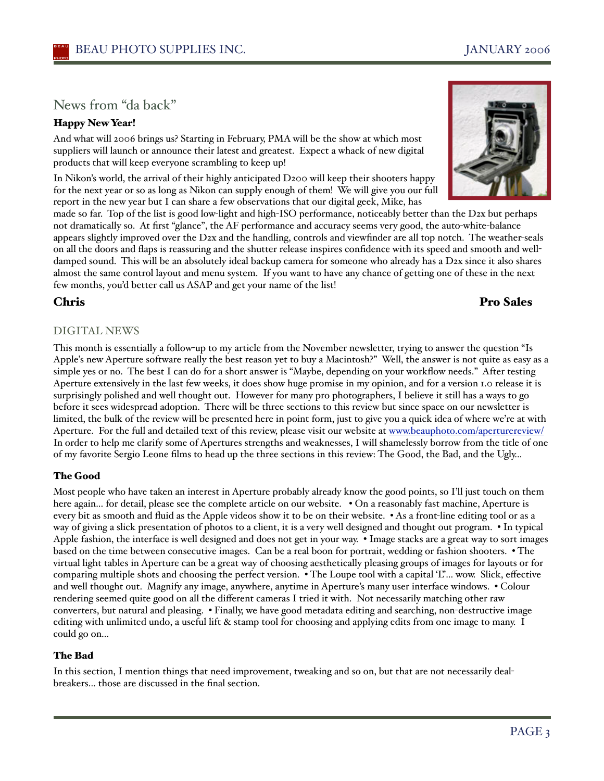# News from "da back"

## Happy New Year!

And what will 2006 brings us? Starting in February, PMA will be the show at which most suppliers will launch or announce their latest and greatest. Expect a whack of new digital products that will keep everyone scrambling to keep up!

In Nikon's world, the arrival of their highly anticipated D200 will keep their shooters happy for the next year or so as long as Nikon can supply enough of them! We will give you our full report in the new year but I can share a few observations that our digital geek, Mike, has

made so far. Top of the list is good low-light and high-ISO performance, noticeably better than the D2x but perhaps not dramatically so. At first "glance", the AF performance and accuracy seems very good, the auto-white-balance appears slightly improved over the D2x and the handling, controls and viewfinder are all top notch. The weather-seals on all the doors and flaps is reassuring and the shutter release inspires confidence with its speed and smooth and welldamped sound. This will be an absolutely ideal backup camera for someone who already has a D2x since it also shares almost the same control layout and menu system. If you want to have any chance of getting one of these in the next few months, you'd better call us ASAP and get your name of the list!

# Chris Pro Sales

## DIGITAL NEWS

This month is essentially a follow-up to my article from the November newsletter, trying to answer the question "Is Apple's new Aperture software really the best reason yet to buy a Macintosh?" Well, the answer is not quite as easy as a simple yes or no. The best I can do for a short answer is "Maybe, depending on your workflow needs." After testing Aperture extensively in the last few weeks, it does show huge promise in my opinion, and for a version 1.0 release it is surprisingly polished and well thought out. However for many pro photographers, I believe it still has a ways to go before it sees widespread adoption. There will be three sections to this review but since space on our newsletter is limited, the bulk of the review will be presented here in point form, just to give you a quick idea of where we're at with Aperture. For the full and detailed text of this review, please visit our website at www.beauphoto.com/aperturereview/ In order to help me clarify some of Apertures strengths and weaknesses, I will shamelessly borrow from the title of one of my favorite Sergio Leone films to head up the three sections in this review: The Good, the Bad, and the Ugly…

#### The Good

Most people who have taken an interest in Aperture probably already know the good points, so I'll just touch on them here again... for detail, please see the complete article on our website. . On a reasonably fast machine, Aperture is every bit as smooth and fluid as the Apple videos show it to be on their website. • As a front-line editing tool or as a way of giving a slick presentation of photos to a client, it is a very well designed and thought out program. • In typical Apple fashion, the interface is well designed and does not get in your way. • Image stacks are a great way to sort images based on the time between consecutive images. Can be a real boon for portrait, wedding or fashion shooters. • The virtual light tables in Aperture can be a great way of choosing aesthetically pleasing groups of images for layouts or for comparing multiple shots and choosing the perfect version. • The Loupe tool with a capital 'L"... wow. Slick, effective and well thought out. Magnify any image, anywhere, anytime in Aperture's many user interface windows. • Colour rendering seemed quite good on all the different cameras I tried it with. Not necessarily matching other raw converters, but natural and pleasing. • Finally, we have good metadata editing and searching, non-destructive image editing with unlimited undo, a useful lift & stamp tool for choosing and applying edits from one image to many. I could go on...

## The Bad

In this section, I mention things that need improvement, tweaking and so on, but that are not necessarily dealbreakers... those are discussed in the final section.